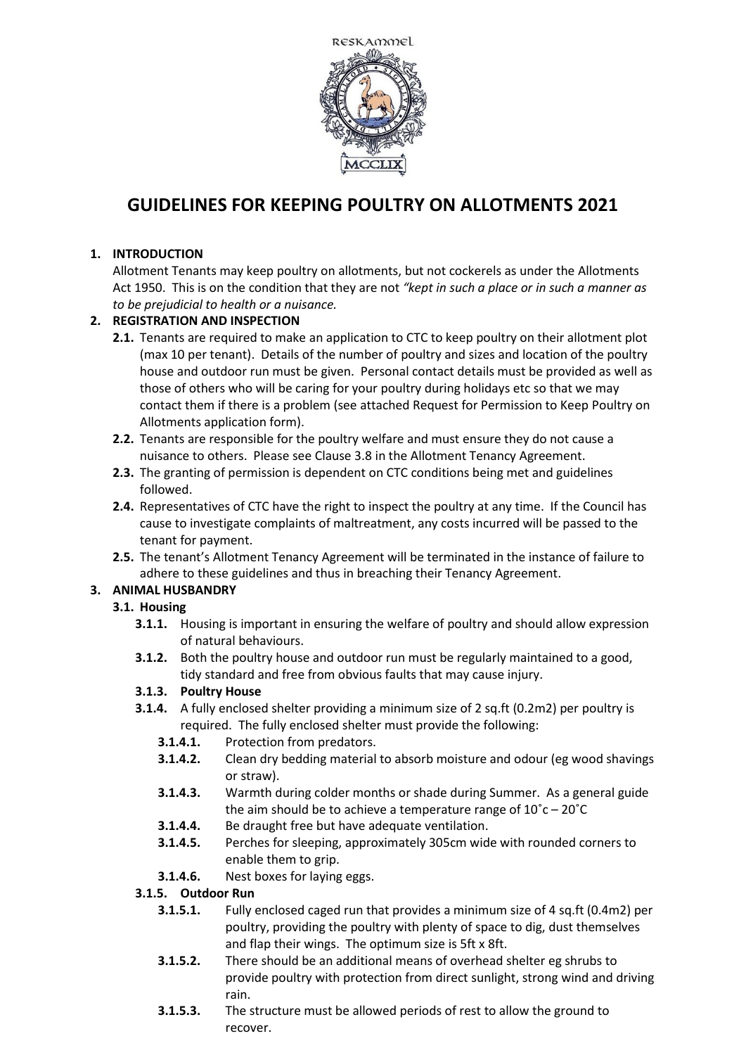

# **GUIDELINES FOR KEEPING POULTRY ON ALLOTMENTS 2021**

## **1. INTRODUCTION**

Allotment Tenants may keep poultry on allotments, but not cockerels as under the Allotments Act 1950. This is on the condition that they are not *"kept in such a place or in such a manner as to be prejudicial to health or a nuisance.*

## **2. REGISTRATION AND INSPECTION**

- **2.1.** Tenants are required to make an application to CTC to keep poultry on their allotment plot (max 10 per tenant). Details of the number of poultry and sizes and location of the poultry house and outdoor run must be given. Personal contact details must be provided as well as those of others who will be caring for your poultry during holidays etc so that we may contact them if there is a problem (see attached Request for Permission to Keep Poultry on Allotments application form).
- **2.2.** Tenants are responsible for the poultry welfare and must ensure they do not cause a nuisance to others. Please see Clause 3.8 in the Allotment Tenancy Agreement.
- **2.3.** The granting of permission is dependent on CTC conditions being met and guidelines followed.
- **2.4.** Representatives of CTC have the right to inspect the poultry at any time. If the Council has cause to investigate complaints of maltreatment, any costs incurred will be passed to the tenant for payment.
- **2.5.** The tenant's Allotment Tenancy Agreement will be terminated in the instance of failure to adhere to these guidelines and thus in breaching their Tenancy Agreement.

# **3. ANIMAL HUSBANDRY**

# **3.1. Housing**

- **3.1.1.** Housing is important in ensuring the welfare of poultry and should allow expression of natural behaviours.
- **3.1.2.** Both the poultry house and outdoor run must be regularly maintained to a good, tidy standard and free from obvious faults that may cause injury.

# **3.1.3. Poultry House**

- **3.1.4.** A fully enclosed shelter providing a minimum size of 2 sq.ft (0.2m2) per poultry is required. The fully enclosed shelter must provide the following:
	- **3.1.4.1.** Protection from predators.
	- **3.1.4.2.** Clean dry bedding material to absorb moisture and odour (eg wood shavings or straw).
	- **3.1.4.3.** Warmth during colder months or shade during Summer. As a general guide the aim should be to achieve a temperature range of 10˚c – 20˚C
	- **3.1.4.4.** Be draught free but have adequate ventilation.
	- **3.1.4.5.** Perches for sleeping, approximately 305cm wide with rounded corners to enable them to grip.
	- **3.1.4.6.** Nest boxes for laying eggs.

#### **3.1.5. Outdoor Run**

- **3.1.5.1.** Fully enclosed caged run that provides a minimum size of 4 sq.ft (0.4m2) per poultry, providing the poultry with plenty of space to dig, dust themselves and flap their wings. The optimum size is 5ft x 8ft.
- **3.1.5.2.** There should be an additional means of overhead shelter eg shrubs to provide poultry with protection from direct sunlight, strong wind and driving rain.
- **3.1.5.3.** The structure must be allowed periods of rest to allow the ground to recover.